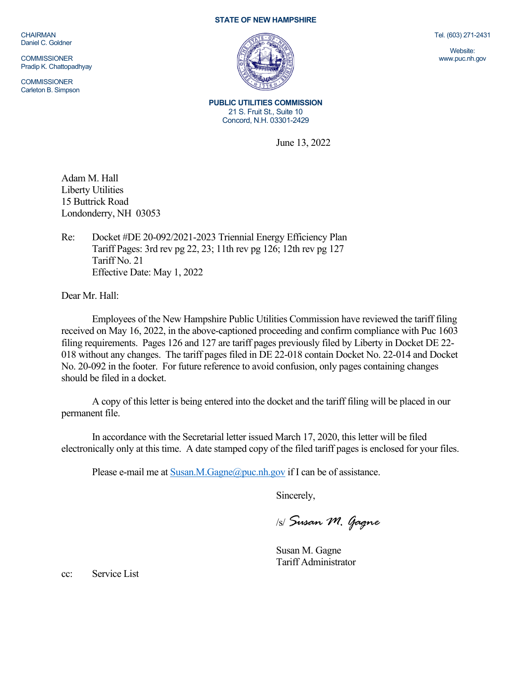**CHAIRMAN** Daniel C. Goldner

**COMMISSIONER** Pradip K. Chattopadhyay

**COMMISSIONER** Carleton B. Simpson

## **STATE OF NEW HAMPSHIRE**



**PUBLIC UTILITIES COMMISSION** 21 S. Fruit St., Suite 10 Concord, N.H. 03301-2429

June 13, 2022

Adam M. Hall Liberty Utilities 15 Buttrick Road Londonderry, NH 03053

Re: Docket #DE 20-092/2021-2023 Triennial Energy Efficiency Plan Tariff Pages: 3rd rev pg 22, 23; 11th rev pg 126; 12th rev pg 127 Tariff No. 21 Effective Date: May 1, 2022

Dear Mr. Hall:

Employees of the New Hampshire Public Utilities Commission have reviewed the tariff filing received on May 16, 2022, in the above-captioned proceeding and confirm compliance with Puc 1603 filing requirements. Pages 126 and 127 are tariff pages previously filed by Liberty in Docket DE 22- 018 without any changes. The tariff pages filed in DE 22-018 contain Docket No. 22-014 and Docket No. 20-092 in the footer. For future reference to avoid confusion, only pages containing changes should be filed in a docket.

A copy of this letter is being entered into the docket and the tariff filing will be placed in our permanent file.

In accordance with the Secretarial letter issued March 17, 2020, this letter will be filed electronically only at this time. A date stamped copy of the filed tariff pages is enclosed for your files.

Please e-mail me a[t Susan.M.Gagne@puc.nh.gov](mailto:Susan.M.Gagne@puc.nh.gov) if I can be of assistance.

Sincerely,

/s/ *Susan M. Gagne*

Susan M. Gagne Tariff Administrator

cc: Service List

Tel. (603) 271-2431

Website: www.puc.nh.gov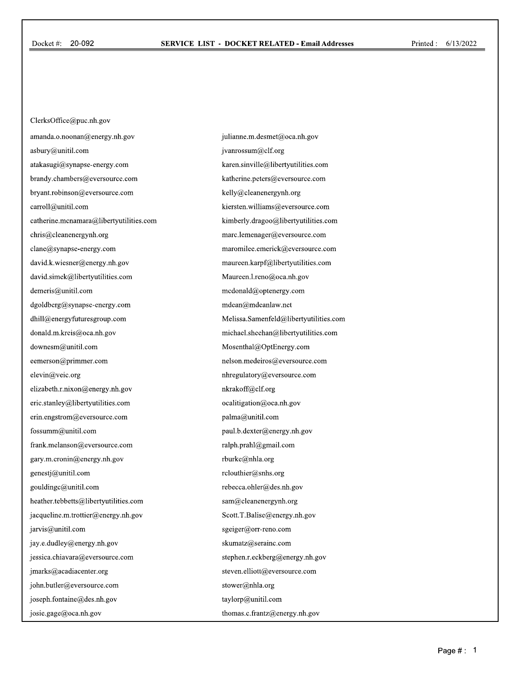ClerksOffice@puc.nh.gov amanda.o.noonan@energy.nh.gov asbury@unitil.com atakasugi@synapse-energy.com brandy.chambers@eversource.com bryant.robinson@eversource.com carroll@unitil.com catherine.mcnamara@libertyutilities.com chris@cleanenergynh.org clane@synapse-energy.com david.k.wiesner@energy.nh.gov david.simek@libertyutilities.com demeris@unitil.com dgoldberg@synapse-energy.com dhill@energyfuturesgroup.com donald.m.kreis@oca.nh.gov downesm@unitil.com eemerson@primmer.com elevin@veic.org elizabeth.r.nixon@energy.nh.gov eric.stanley@libertyutilities.com erin.engstrom@eversource.com fossumm@unitil.com frank.melanson@eversource.com gary.m.cronin@energy.nh.gov genestj@unitil.com gouldingc@unitil.com heather.tebbetts@libertyutilities.com jacqueline.m.trottier@energy.nh.gov jarvis@unitil.com jay.e.dudley@energy.nh.gov jessica.chiavara@eversource.com jmarks@acadiacenter.org john.butler@eversource.com joseph.fontaine@des.nh.gov josie.gage@oca.nh.gov

julianne.m.desmet@oca.nh.gov jvanrossum@clf.org karen.sinville@libertyutilities.com katherine.peters@eversource.com kelly@cleanenergynh.org kiersten.williams@eversource.com kimberly.dragoo@libertyutilities.com marc.lemenager@eversource.com maromilee.emerick@eversource.com maureen.karpf@libertyutilities.com Maureen.l.reno@oca.nh.gov mcdonald@optenergy.com mdean@mdeanlaw.net Melissa.Samenfeld@libertyutilities.com michael.sheehan@libertyutilities.com Mosenthal@OptEnergy.com nelson.medeiros@eversource.com nhregulatory@eversource.com nkrakoff@clf.org ocalitigation@oca.nh.gov palma@unitil.com paul.b.dexter@energy.nh.gov ralph.prahl@gmail.com rburke@nhla.org rclouthier@snhs.org rebecca.ohler@des.nh.gov sam@cleanenergynh.org Scott.T.Balise@energy.nh.gov sgeiger@orr-reno.com skumatz@serainc.com stephen.r.eckberg@energy.nh.gov steven.elliott@eversource.com stower@nhla.org taylorp@unitil.com thomas.c.frantz@energy.nh.gov